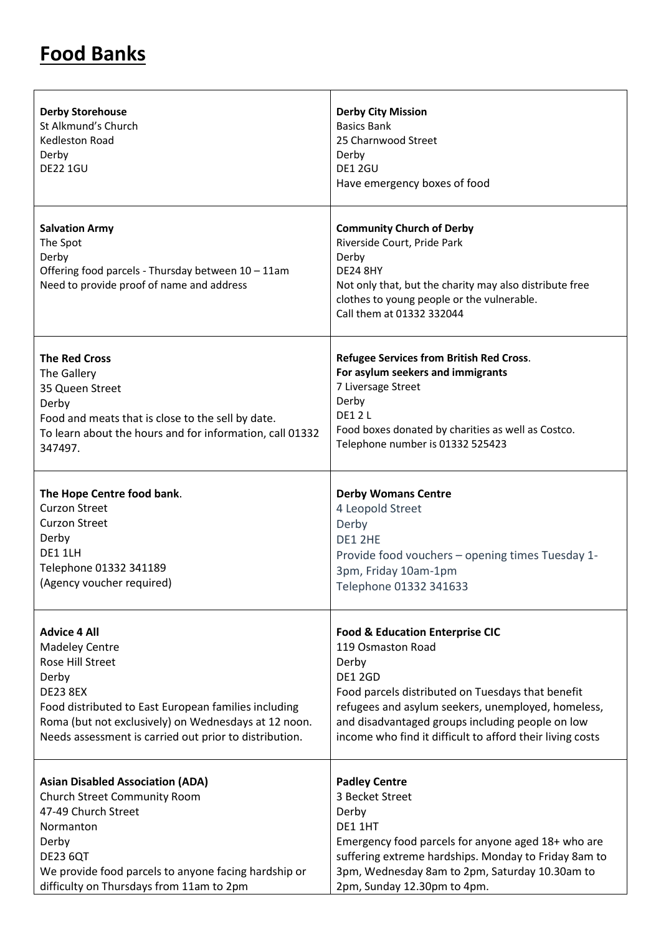## **Food Banks**

| <b>Derby Storehouse</b><br>St Alkmund's Church<br>Kedleston Road<br>Derby<br><b>DE22 1GU</b>                                                  | <b>Derby City Mission</b><br><b>Basics Bank</b><br>25 Charnwood Street<br>Derby<br>DE1 2GU<br>Have emergency boxes of food                                                                                                        |
|-----------------------------------------------------------------------------------------------------------------------------------------------|-----------------------------------------------------------------------------------------------------------------------------------------------------------------------------------------------------------------------------------|
| <b>Salvation Army</b><br>The Spot<br>Derby<br>Offering food parcels - Thursday between 10 - 11am<br>Need to provide proof of name and address | <b>Community Church of Derby</b><br>Riverside Court, Pride Park<br>Derby<br><b>DE24 8HY</b><br>Not only that, but the charity may also distribute free<br>clothes to young people or the vulnerable.<br>Call them at 01332 332044 |
| <b>The Red Cross</b>                                                                                                                          | Refugee Services from British Red Cross.                                                                                                                                                                                          |
| The Gallery                                                                                                                                   | For asylum seekers and immigrants                                                                                                                                                                                                 |
| 35 Queen Street                                                                                                                               | 7 Liversage Street                                                                                                                                                                                                                |
| Derby                                                                                                                                         | Derby                                                                                                                                                                                                                             |
| Food and meats that is close to the sell by date.                                                                                             | <b>DF12L</b>                                                                                                                                                                                                                      |
| To learn about the hours and for information, call 01332                                                                                      | Food boxes donated by charities as well as Costco.                                                                                                                                                                                |
| 347497.                                                                                                                                       | Telephone number is 01332 525423                                                                                                                                                                                                  |
| The Hope Centre food bank.                                                                                                                    | <b>Derby Womans Centre</b>                                                                                                                                                                                                        |
| <b>Curzon Street</b>                                                                                                                          | 4 Leopold Street                                                                                                                                                                                                                  |
| <b>Curzon Street</b>                                                                                                                          | Derby                                                                                                                                                                                                                             |
| Derby                                                                                                                                         | DE1 2HE                                                                                                                                                                                                                           |
| <b>DE1 1LH</b>                                                                                                                                | Provide food vouchers - opening times Tuesday 1-                                                                                                                                                                                  |
| Telephone 01332 341189                                                                                                                        | 3pm, Friday 10am-1pm                                                                                                                                                                                                              |
| (Agency voucher required)                                                                                                                     | Telephone 01332 341633                                                                                                                                                                                                            |
| <b>Advice 4 All</b>                                                                                                                           | <b>Food &amp; Education Enterprise CIC</b>                                                                                                                                                                                        |
| <b>Madeley Centre</b>                                                                                                                         | 119 Osmaston Road                                                                                                                                                                                                                 |
| Rose Hill Street                                                                                                                              | Derby                                                                                                                                                                                                                             |
| Derby                                                                                                                                         | <b>DE1 2GD</b>                                                                                                                                                                                                                    |
| <b>DE23 8EX</b>                                                                                                                               | Food parcels distributed on Tuesdays that benefit                                                                                                                                                                                 |
| Food distributed to East European families including                                                                                          | refugees and asylum seekers, unemployed, homeless,                                                                                                                                                                                |
| Roma (but not exclusively) on Wednesdays at 12 noon.                                                                                          | and disadvantaged groups including people on low                                                                                                                                                                                  |
| Needs assessment is carried out prior to distribution.                                                                                        | income who find it difficult to afford their living costs                                                                                                                                                                         |
| <b>Asian Disabled Association (ADA)</b>                                                                                                       | <b>Padley Centre</b>                                                                                                                                                                                                              |
| Church Street Community Room                                                                                                                  | 3 Becket Street                                                                                                                                                                                                                   |
| 47-49 Church Street                                                                                                                           | Derby                                                                                                                                                                                                                             |
| Normanton                                                                                                                                     | DE11HT                                                                                                                                                                                                                            |
| Derby                                                                                                                                         | Emergency food parcels for anyone aged 18+ who are                                                                                                                                                                                |
| <b>DE23 6QT</b>                                                                                                                               | suffering extreme hardships. Monday to Friday 8am to                                                                                                                                                                              |
| We provide food parcels to anyone facing hardship or                                                                                          | 3pm, Wednesday 8am to 2pm, Saturday 10.30am to                                                                                                                                                                                    |
| difficulty on Thursdays from 11am to 2pm                                                                                                      | 2pm, Sunday 12.30pm to 4pm.                                                                                                                                                                                                       |